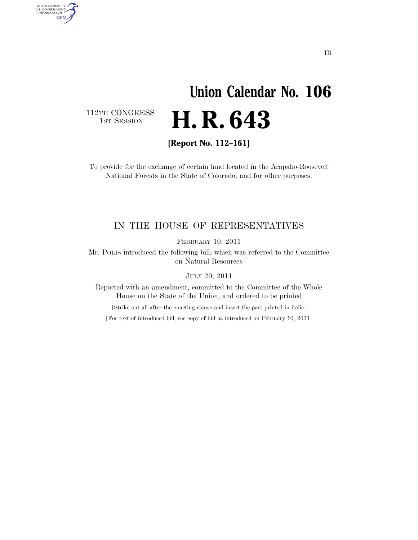# **Union Calendar No. 106**  H. R. 643

112TH CONGRESS<br>1st Session

AUTHENTICATED<br>U.S. GOVERNMENT<br>INFORMATION GPO

**[Report No. 112–161]** 

To provide for the exchange of certain land located in the Arapaho-Roosevelt National Forests in the State of Colorado, and for other purposes.

#### IN THE HOUSE OF REPRESENTATIVES

FEBRUARY 10, 2011

Mr. POLIS introduced the following bill; which was referred to the Committee on Natural Resources

JULY 20, 2011

Reported with an amendment, committed to the Committee of the Whole House on the State of the Union, and ordered to be printed

[Strike out all after the enacting clause and insert the part printed in italic]

[For text of introduced bill, see copy of bill as introduced on February 10, 2011]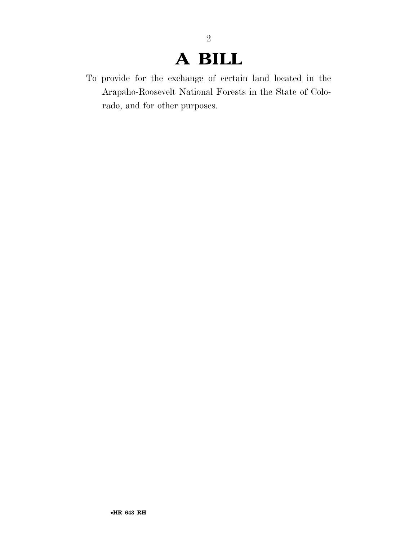## **A BILL**

2

To provide for the exchange of certain land located in the Arapaho-Roosevelt National Forests in the State of Colorado, and for other purposes.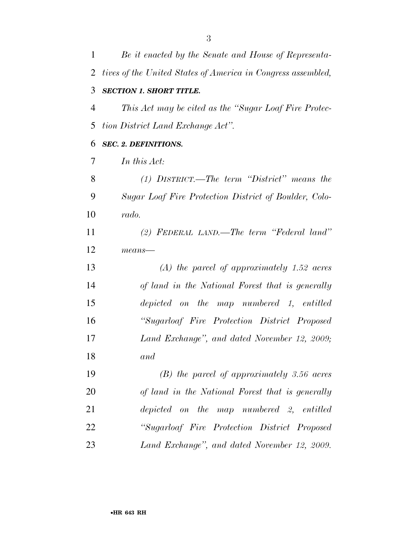| $\mathbf{1}$ | Be it enacted by the Senate and House of Representa-         |
|--------------|--------------------------------------------------------------|
| 2            | tives of the United States of America in Congress assembled, |
| 3            | <b>SECTION 1. SHORT TITLE.</b>                               |
| 4            | This Act may be cited as the "Sugar Loaf Fire Protec-        |
| 5            | tion District Land Exchange Act".                            |
| 6            | <b>SEC. 2. DEFINITIONS.</b>                                  |
| 7            | In this Act:                                                 |
| 8            | $(1)$ DISTRICT.—The term "District" means the                |
| 9            | Sugar Loaf Fire Protection District of Boulder, Colo-        |
| 10           | rado.                                                        |
| 11           | $(2)$ FEDERAL LAND.—The term "Federal land"                  |
| 12           | $means$ —                                                    |
| 13           | $(A)$ the parcel of approximately 1.52 acres                 |
| 14           | of land in the National Forest that is generally             |
| 15           | depicted on the map numbered 1, entitled                     |
| 16           | "Sugarloaf Fire Protection District Proposed                 |
| 17           | Land Exchange", and dated November 12, 2009;                 |
| 18           | and                                                          |
| 19           | $(B)$ the parcel of approximately 3.56 acres                 |
| 20           | of land in the National Forest that is generally             |
| 21           | depicted on the map numbered 2, entitled                     |
| 22           | "Sugarloaf Fire Protection District Proposed                 |
| 23           | Land Exchange", and dated November 12, 2009.                 |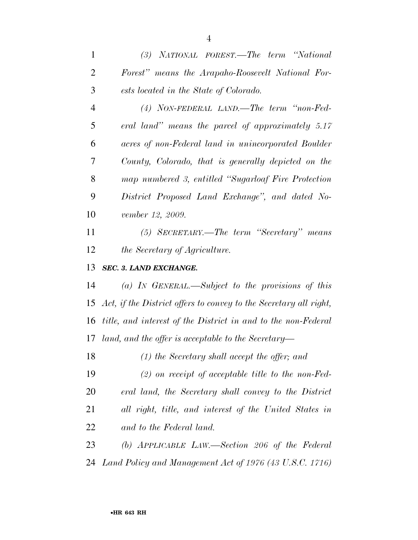*(3) NATIONAL FOREST.—The term ''National Forest'' means the Arapaho-Roosevelt National For-ests located in the State of Colorado.* 

 *(4) NON-FEDERAL LAND.—The term ''non-Fed- eral land'' means the parcel of approximately 5.17 acres of non-Federal land in unincorporated Boulder County, Colorado, that is generally depicted on the map numbered 3, entitled ''Sugarloaf Fire Protection District Proposed Land Exchange'', and dated No-vember 12, 2009.* 

 *(5) SECRETARY.—The term ''Secretary'' means the Secretary of Agriculture.* 

### *SEC. 3. LAND EXCHANGE.*

 *(a) IN GENERAL.—Subject to the provisions of this Act, if the District offers to convey to the Secretary all right, title, and interest of the District in and to the non-Federal land, and the offer is acceptable to the Secretary—* 

*(1) the Secretary shall accept the offer; and* 

 *(2) on receipt of acceptable title to the non-Fed- eral land, the Secretary shall convey to the District all right, title, and interest of the United States in and to the Federal land.* 

 *(b) APPLICABLE LAW.—Section 206 of the Federal Land Policy and Management Act of 1976 (43 U.S.C. 1716)*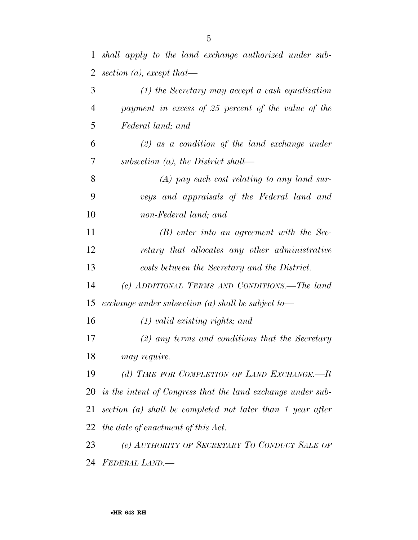| $\overline{2}$ | section (a), except that—                                      |
|----------------|----------------------------------------------------------------|
| 3              | $(1)$ the Secretary may accept a cash equalization             |
| $\overline{4}$ | payment in excess of 25 percent of the value of the            |
| 5              | Federal land; and                                              |
| 6              | $(2)$ as a condition of the land exchange under                |
| 7              | subsection $(a)$ , the District shall—                         |
| 8              | $(A)$ pay each cost relating to any land sur-                  |
| 9              | veys and appraisals of the Federal land and                    |
| 10             | non-Federal land; and                                          |
| 11             | $(B)$ enter into an agreement with the Sec-                    |
| 12             | retary that allocates any other administrative                 |
| 13             | costs between the Secretary and the District.                  |
| 14             | (c) ADDITIONAL TERMS AND CONDITIONS.—The land                  |
| 15             | exchange under subsection (a) shall be subject to—             |
| 16             | $(1)$ valid existing rights; and                               |
| 17             | $(2)$ any terms and conditions that the Secretary              |
| 18             | may require.                                                   |
| 19             | (d) TIME FOR COMPLETION OF LAND EXCHANGE.-It                   |
|                | 20 is the intent of Congress that the land exchange under sub- |
| 21             | section $(a)$ shall be completed not later than 1 year after   |
| 22             | the date of enactment of this Act.                             |
| 23             | (e) AUTHORITY OF SECRETARY TO CONDUCT SALE OF                  |
| 24             | <b>FEDERAL LAND.—</b>                                          |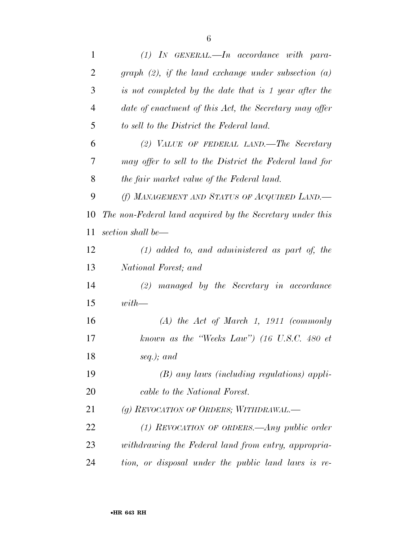| $\mathbf{1}$   | $(1)$ IN GENERAL.—In accordance with para-                      |
|----------------|-----------------------------------------------------------------|
| $\overline{2}$ | graph $(2)$ , if the land exchange under subsection $(a)$       |
| 3              | is not completed by the date that is 1 year after the           |
| $\overline{4}$ | date of enactment of this Act, the Secretary may offer          |
| 5              | to sell to the District the Federal land.                       |
| 6              | (2) VALUE OF FEDERAL LAND.—The Secretary                        |
| 7              | may offer to sell to the District the Federal land for          |
| 8              | the fair market value of the Federal land.                      |
| 9              | (f) MANAGEMENT AND STATUS OF ACQUIRED LAND.                     |
| 10             | The non-Federal land acquired by the Secretary under this       |
| 11             | section shall be—                                               |
| 12             | $(1)$ added to, and administered as part of, the                |
| 13             | National Forest; and                                            |
| 14             | $(2)$ managed by the Secretary in accordance                    |
| 15             | $with$ —                                                        |
| 16             | $(A)$ the Act of March 1, 1911 (commonly                        |
| 17             | known as the "Weeks Law") $(16 \text{ U.S.C. } 480 \text{ et }$ |
| 18             | seq.); and                                                      |
| 19             | $(B)$ any laws (including regulations) appli-                   |
| 20             | cable to the National Forest.                                   |
| 21             | (g) REVOCATION OF ORDERS; WITHDRAWAL.—                          |
| 22             | (1) REVOCATION OF ORDERS.—Any public order                      |
| 23             | withdrawing the Federal land from entry, appropria-             |
| 24             | tion, or disposal under the public land laws is re-             |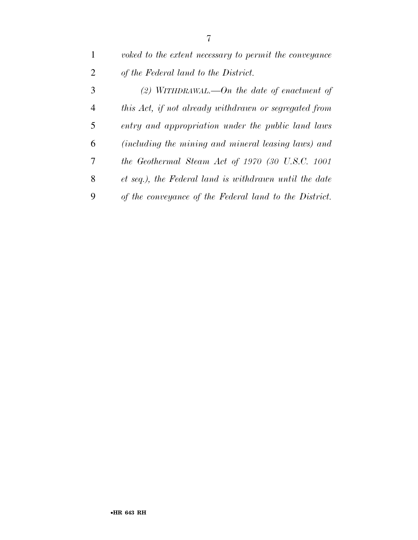| $\mathbf{1}$   | voked to the extent necessary to permit the conveyance |
|----------------|--------------------------------------------------------|
| 2              | of the Federal land to the District.                   |
| 3              | (2) WITHDRAWAL.—On the date of enactment of            |
| $\overline{4}$ | this Act, if not already withdrawn or segregated from  |
| 5              | entry and appropriation under the public land laws     |
| 6              | (including the mining and mineral leasing laws) and    |
| 7              | the Geothermal Steam Act of 1970 (30 U.S.C. 1001       |
| 8              | et seq.), the Federal land is withdrawn until the date |
| 9              | of the conveyance of the Federal land to the District. |